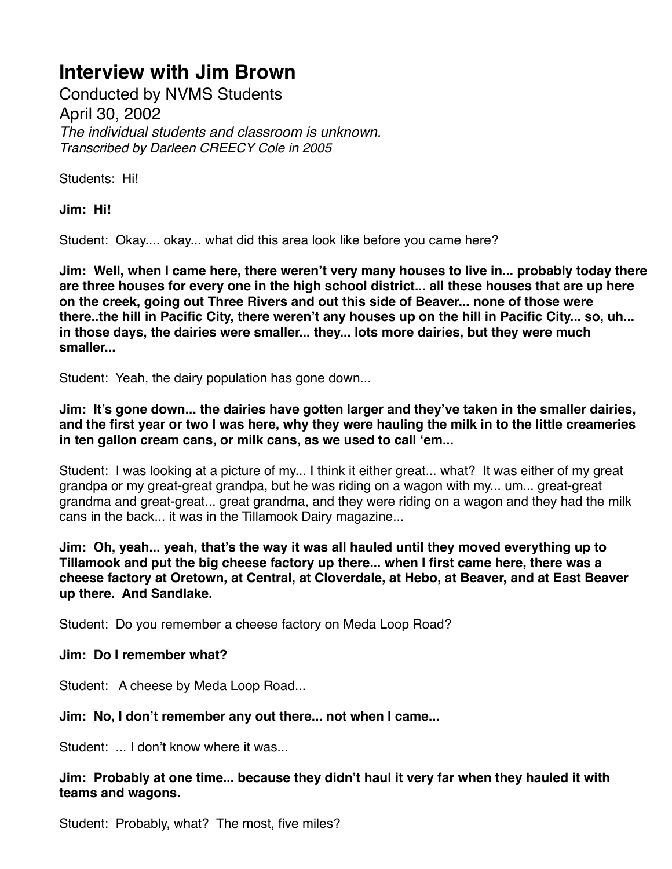Conducted by NVMS Students April 30, 2002 *The individual students and classroom is unknown. Transcribed by Darleen CREECY Cole in 2005*

Students: Hi!

**Jim: Hi!**

Student: Okay.... okay... what did this area look like before you came here?

**Jim: Well, when I came here, there weren't very many houses to live in... probably today there are three houses for every one in the high school district... all these houses that are up here on the creek, going out Three Rivers and out this side of Beaver... none of those were there..the hill in Pacific City, there weren't any houses up on the hill in Pacific City... so, uh... in those days, the dairies were smaller... they... lots more dairies, but they were much smaller...**

Student: Yeah, the dairy population has gone down...

**Jim: It's gone down... the dairies have gotten larger and they've taken in the smaller dairies, and the first year or two I was here, why they were hauling the milk in to the little creameries in ten gallon cream cans, or milk cans, as we used to call 'em...**

Student: I was looking at a picture of my... I think it either great... what? It was either of my great grandpa or my great-great grandpa, but he was riding on a wagon with my... um... great-great grandma and great-great... great grandma, and they were riding on a wagon and they had the milk cans in the back... it was in the Tillamook Dairy magazine...

**Jim: Oh, yeah... yeah, that's the way it was all hauled until they moved everything up to Tillamook and put the big cheese factory up there... when I first came here, there was a cheese factory at Oretown, at Central, at Cloverdale, at Hebo, at Beaver, and at East Beaver up there. And Sandlake.**

Student: Do you remember a cheese factory on Meda Loop Road?

### **Jim: Do I remember what?**

Student: A cheese by Meda Loop Road...

### **Jim: No, I don't remember any out there... not when I came...**

Student: ... I don't know where it was...

#### **Jim: Probably at one time... because they didn't haul it very far when they hauled it with teams and wagons.**

Student: Probably, what? The most, five miles?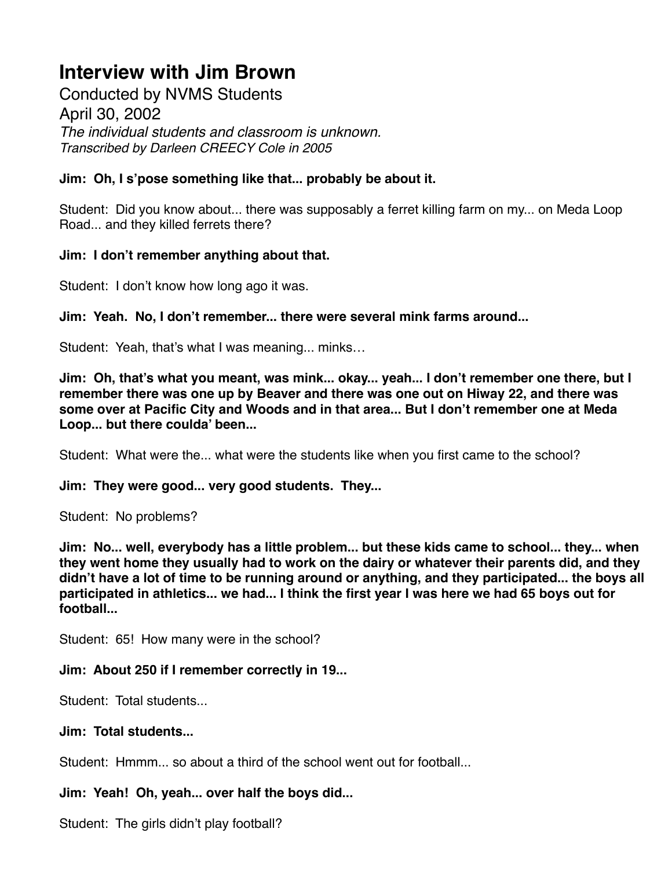Conducted by NVMS Students April 30, 2002 *The individual students and classroom is unknown. Transcribed by Darleen CREECY Cole in 2005*

## **Jim: Oh, I s'pose something like that... probably be about it.**

Student: Did you know about... there was supposably a ferret killing farm on my... on Meda Loop Road... and they killed ferrets there?

### **Jim: I don't remember anything about that.**

Student: I don't know how long ago it was.

**Jim: Yeah. No, I don't remember... there were several mink farms around...**

Student: Yeah, that's what I was meaning... minks…

**Jim: Oh, that's what you meant, was mink... okay... yeah... I don't remember one there, but I remember there was one up by Beaver and there was one out on Hiway 22, and there was some over at Pacific City and Woods and in that area... But I don't remember one at Meda Loop... but there coulda' been...**

Student: What were the... what were the students like when you first came to the school?

#### **Jim: They were good... very good students. They...**

Student: No problems?

**Jim: No... well, everybody has a little problem... but these kids came to school... they... when they went home they usually had to work on the dairy or whatever their parents did, and they didn't have a lot of time to be running around or anything, and they participated... the boys all participated in athletics... we had... I think the first year I was here we had 65 boys out for football...**

Student: 65! How many were in the school?

### **Jim: About 250 if I remember correctly in 19...**

Student: Total students...

#### **Jim: Total students...**

Student: Hmmm... so about a third of the school went out for football...

### **Jim: Yeah! Oh, yeah... over half the boys did...**

Student: The girls didn't play football?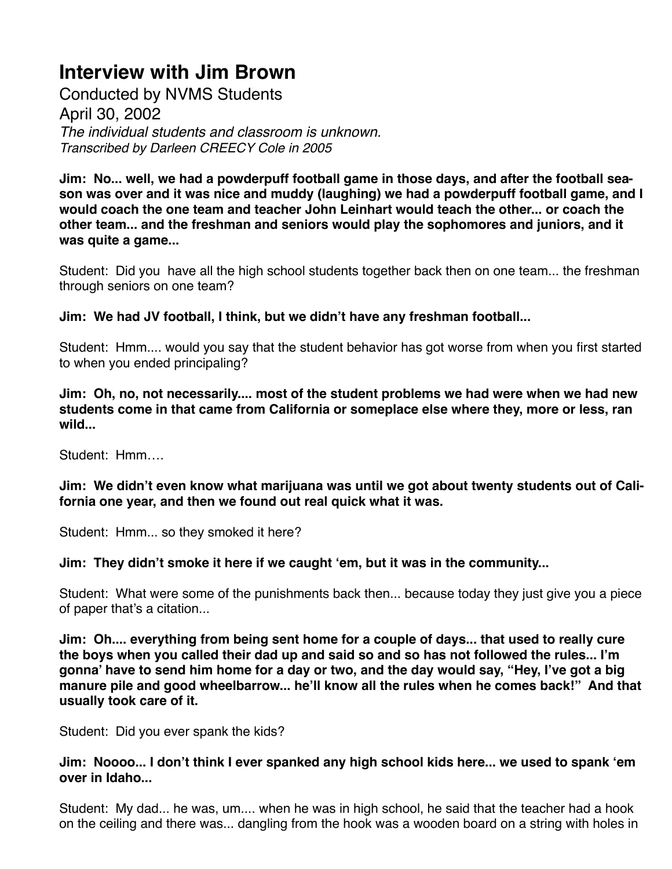Conducted by NVMS Students April 30, 2002 *The individual students and classroom is unknown. Transcribed by Darleen CREECY Cole in 2005*

**Jim: No... well, we had a powderpuff football game in those days, and after the football season was over and it was nice and muddy (laughing) we had a powderpuff football game, and I would coach the one team and teacher John Leinhart would teach the other... or coach the other team... and the freshman and seniors would play the sophomores and juniors, and it was quite a game...**

Student: Did you have all the high school students together back then on one team... the freshman through seniors on one team?

**Jim: We had JV football, I think, but we didn't have any freshman football...**

Student: Hmm.... would you say that the student behavior has got worse from when you first started to when you ended principaling?

**Jim: Oh, no, not necessarily.... most of the student problems we had were when we had new students come in that came from California or someplace else where they, more or less, ran wild...**

Student: Hmm….

**Jim: We didn't even know what marijuana was until we got about twenty students out of California one year, and then we found out real quick what it was.**

Student: Hmm... so they smoked it here?

**Jim: They didn't smoke it here if we caught 'em, but it was in the community...**

Student: What were some of the punishments back then... because today they just give you a piece of paper that's a citation...

**Jim: Oh.... everything from being sent home for a couple of days... that used to really cure the boys when you called their dad up and said so and so has not followed the rules... I'm gonna' have to send him home for a day or two, and the day would say, "Hey, I've got a big manure pile and good wheelbarrow... he'll know all the rules when he comes back!" And that usually took care of it.**

Student: Did you ever spank the kids?

**Jim: Noooo... I don't think I ever spanked any high school kids here... we used to spank 'em over in Idaho...**

Student: My dad... he was, um.... when he was in high school, he said that the teacher had a hook on the ceiling and there was... dangling from the hook was a wooden board on a string with holes in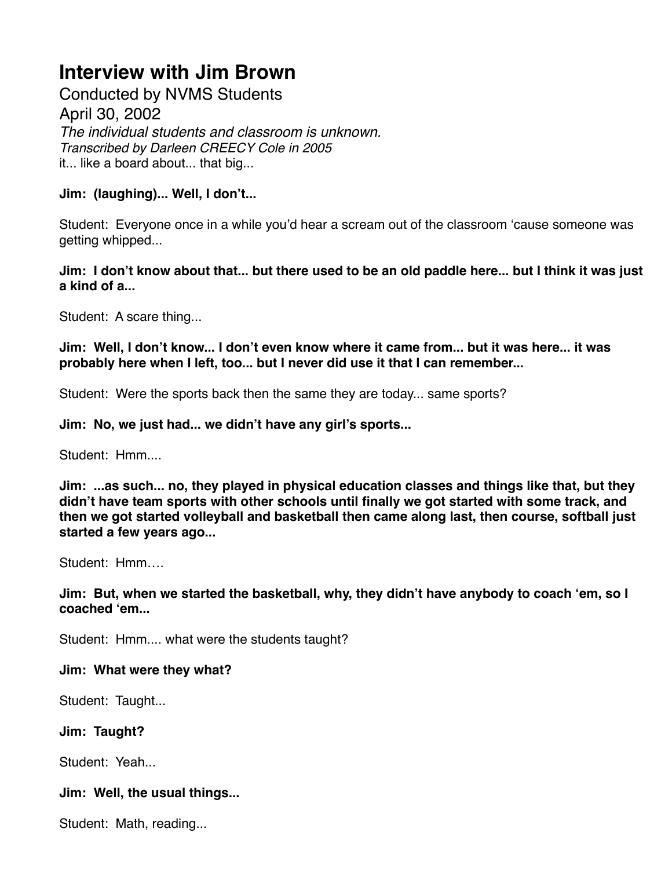Conducted by NVMS Students April 30, 2002 *The individual students and classroom is unknown. Transcribed by Darleen CREECY Cole in 2005* it... like a board about... that big...

**Jim: (laughing)... Well, I don't...**

Student: Everyone once in a while you'd hear a scream out of the classroom 'cause someone was getting whipped...

**Jim: I don't know about that... but there used to be an old paddle here... but I think it was just a kind of a...**

Student: A scare thing...

**Jim: Well, I don't know... I don't even know where it came from... but it was here... it was probably here when I left, too... but I never did use it that I can remember...**

Student: Were the sports back then the same they are today... same sports?

**Jim: No, we just had... we didn't have any girl's sports...**

Student: Hmm....

**Jim: ...as such... no, they played in physical education classes and things like that, but they didn't have team sports with other schools until finally we got started with some track, and then we got started volleyball and basketball then came along last, then course, softball just started a few years ago...**

Student: Hmm….

**Jim: But, when we started the basketball, why, they didn't have anybody to coach 'em, so I coached 'em...**

Student: Hmm.... what were the students taught?

**Jim: What were they what?**

Student: Taught...

**Jim: Taught?**

Student: Yeah...

## **Jim: Well, the usual things...**

Student: Math, reading...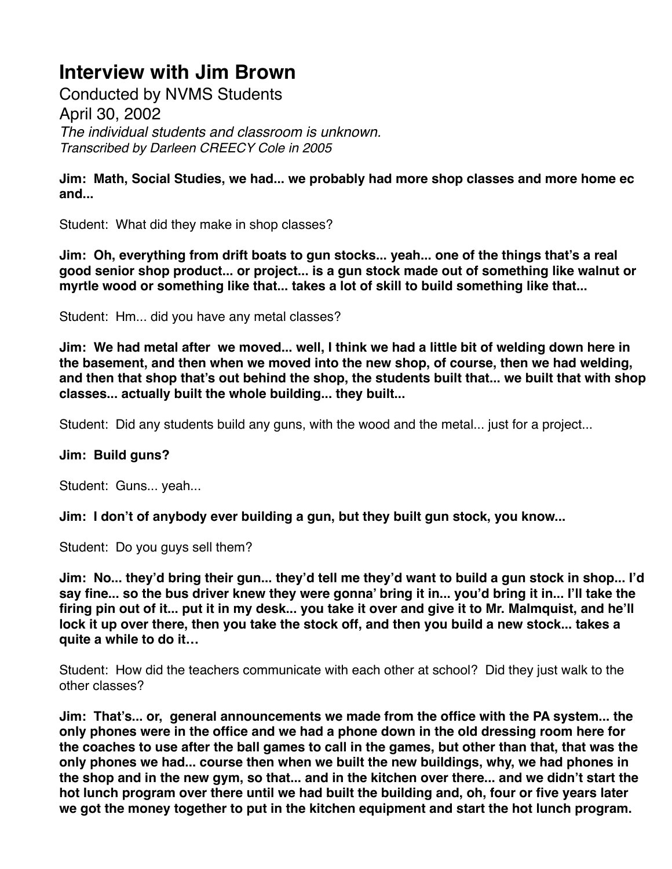Conducted by NVMS Students April 30, 2002 *The individual students and classroom is unknown. Transcribed by Darleen CREECY Cole in 2005*

**Jim: Math, Social Studies, we had... we probably had more shop classes and more home ec and...**

Student: What did they make in shop classes?

**Jim: Oh, everything from drift boats to gun stocks... yeah... one of the things that's a real good senior shop product... or project... is a gun stock made out of something like walnut or myrtle wood or something like that... takes a lot of skill to build something like that...**

Student: Hm... did you have any metal classes?

**Jim: We had metal after we moved... well, I think we had a little bit of welding down here in the basement, and then when we moved into the new shop, of course, then we had welding, and then that shop that's out behind the shop, the students built that... we built that with shop classes... actually built the whole building... they built...**

Student: Did any students build any guns, with the wood and the metal... just for a project...

#### **Jim: Build guns?**

Student: Guns... yeah...

**Jim: I don't of anybody ever building a gun, but they built gun stock, you know...**

Student: Do you guys sell them?

**Jim: No... they'd bring their gun... they'd tell me they'd want to build a gun stock in shop... I'd say fine... so the bus driver knew they were gonna' bring it in... you'd bring it in... I'll take the firing pin out of it... put it in my desk... you take it over and give it to Mr. Malmquist, and he'll lock it up over there, then you take the stock off, and then you build a new stock... takes a quite a while to do it…**

Student: How did the teachers communicate with each other at school? Did they just walk to the other classes?

**Jim: That's... or, general announcements we made from the office with the PA system... the only phones were in the office and we had a phone down in the old dressing room here for the coaches to use after the ball games to call in the games, but other than that, that was the only phones we had... course then when we built the new buildings, why, we had phones in the shop and in the new gym, so that... and in the kitchen over there... and we didn't start the hot lunch program over there until we had built the building and, oh, four or five years later we got the money together to put in the kitchen equipment and start the hot lunch program.**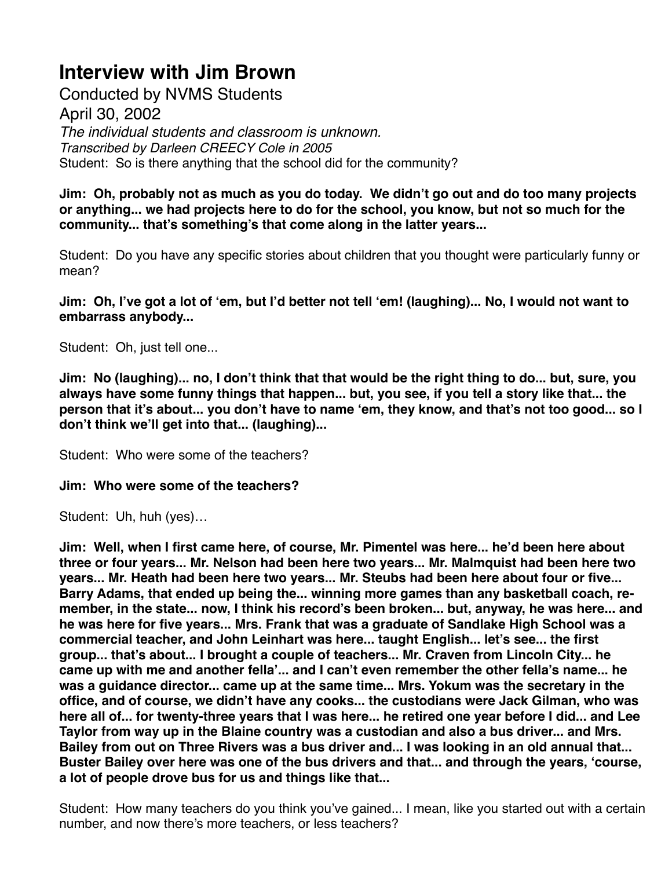Conducted by NVMS Students April 30, 2002 *The individual students and classroom is unknown. Transcribed by Darleen CREECY Cole in 2005* Student: So is there anything that the school did for the community?

**Jim: Oh, probably not as much as you do today. We didn't go out and do too many projects or anything... we had projects here to do for the school, you know, but not so much for the community... that's something's that come along in the latter years...**

Student: Do you have any specific stories about children that you thought were particularly funny or mean?

**Jim: Oh, I've got a lot of 'em, but I'd better not tell 'em! (laughing)... No, I would not want to embarrass anybody...**

Student: Oh, just tell one...

**Jim: No (laughing)... no, I don't think that that would be the right thing to do... but, sure, you always have some funny things that happen... but, you see, if you tell a story like that... the person that it's about... you don't have to name 'em, they know, and that's not too good... so I don't think we'll get into that... (laughing)...**

Student: Who were some of the teachers?

### **Jim: Who were some of the teachers?**

Student: Uh, huh (yes)…

**Jim: Well, when I first came here, of course, Mr. Pimentel was here... he'd been here about three or four years... Mr. Nelson had been here two years... Mr. Malmquist had been here two years... Mr. Heath had been here two years... Mr. Steubs had been here about four or five... Barry Adams, that ended up being the... winning more games than any basketball coach, remember, in the state... now, I think his record's been broken... but, anyway, he was here... and he was here for five years... Mrs. Frank that was a graduate of Sandlake High School was a commercial teacher, and John Leinhart was here... taught English... let's see... the first group... that's about... I brought a couple of teachers... Mr. Craven from Lincoln City... he came up with me and another fella'... and I can't even remember the other fella's name... he was a guidance director... came up at the same time... Mrs. Yokum was the secretary in the office, and of course, we didn't have any cooks... the custodians were Jack Gilman, who was here all of... for twenty-three years that I was here... he retired one year before I did... and Lee Taylor from way up in the Blaine country was a custodian and also a bus driver... and Mrs. Bailey from out on Three Rivers was a bus driver and... I was looking in an old annual that... Buster Bailey over here was one of the bus drivers and that... and through the years, 'course, a lot of people drove bus for us and things like that...** 

Student: How many teachers do you think you've gained... I mean, like you started out with a certain number, and now there's more teachers, or less teachers?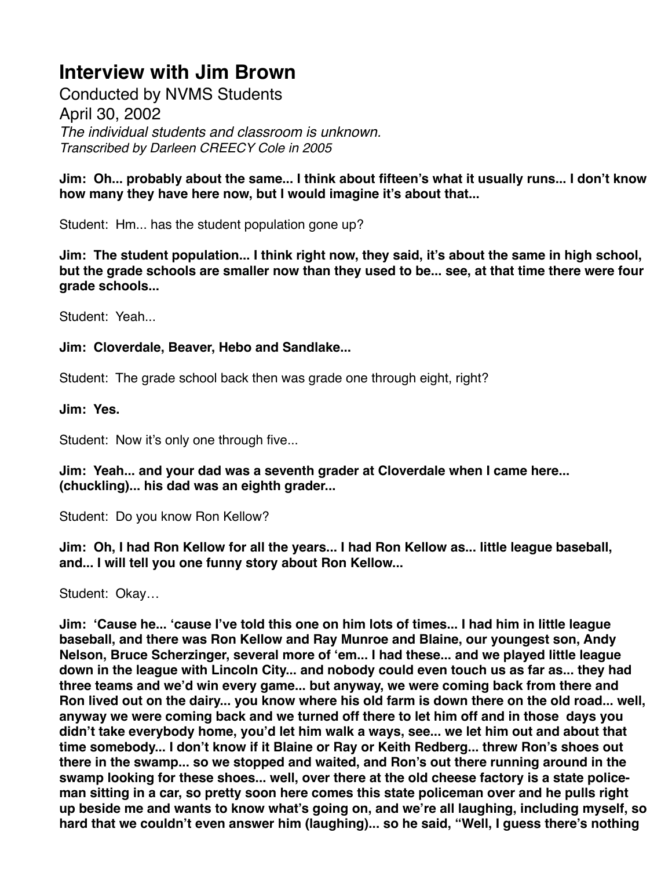Conducted by NVMS Students April 30, 2002 *The individual students and classroom is unknown. Transcribed by Darleen CREECY Cole in 2005*

**Jim: Oh... probably about the same... I think about fifteen's what it usually runs... I don't know how many they have here now, but I would imagine it's about that...**

Student: Hm... has the student population gone up?

**Jim: The student population... I think right now, they said, it's about the same in high school, but the grade schools are smaller now than they used to be... see, at that time there were four grade schools...**

Student: Yeah...

## **Jim: Cloverdale, Beaver, Hebo and Sandlake...**

Student: The grade school back then was grade one through eight, right?

### **Jim: Yes.**

Student: Now it's only one through five...

**Jim: Yeah... and your dad was a seventh grader at Cloverdale when I came here... (chuckling)... his dad was an eighth grader...**

Student: Do you know Ron Kellow?

**Jim: Oh, I had Ron Kellow for all the years... I had Ron Kellow as... little league baseball, and... I will tell you one funny story about Ron Kellow...**

Student: Okay…

**Jim: 'Cause he... 'cause I've told this one on him lots of times... I had him in little league baseball, and there was Ron Kellow and Ray Munroe and Blaine, our youngest son, Andy Nelson, Bruce Scherzinger, several more of 'em... I had these... and we played little league down in the league with Lincoln City... and nobody could even touch us as far as... they had three teams and we'd win every game... but anyway, we were coming back from there and Ron lived out on the dairy... you know where his old farm is down there on the old road... well, anyway we were coming back and we turned off there to let him off and in those days you didn't take everybody home, you'd let him walk a ways, see... we let him out and about that time somebody... I don't know if it Blaine or Ray or Keith Redberg... threw Ron's shoes out there in the swamp... so we stopped and waited, and Ron's out there running around in the swamp looking for these shoes... well, over there at the old cheese factory is a state policeman sitting in a car, so pretty soon here comes this state policeman over and he pulls right up beside me and wants to know what's going on, and we're all laughing, including myself, so hard that we couldn't even answer him (laughing)... so he said, "Well, I guess there's nothing**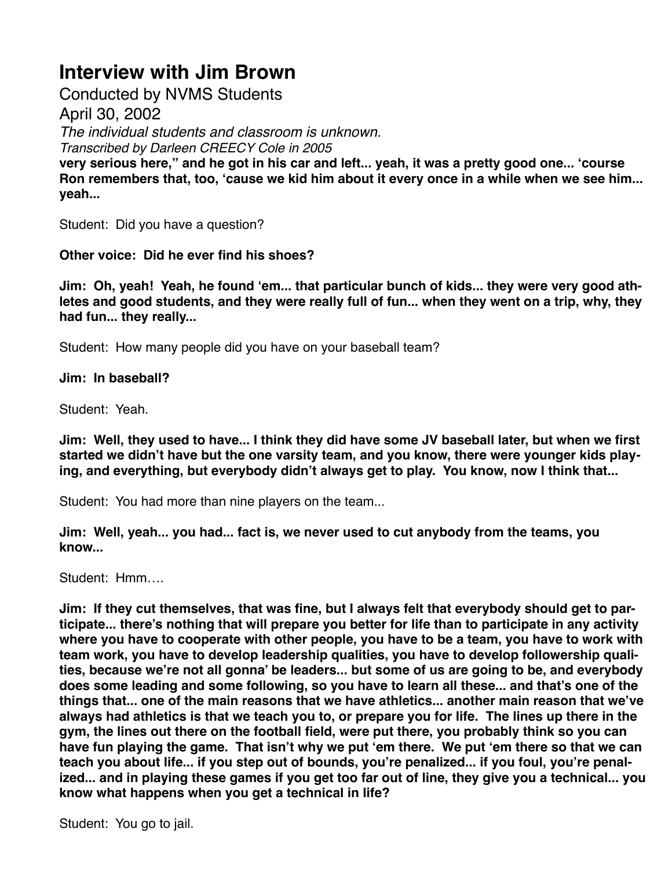Conducted by NVMS Students

April 30, 2002

*The individual students and classroom is unknown.*

*Transcribed by Darleen CREECY Cole in 2005*

**very serious here," and he got in his car and left... yeah, it was a pretty good one... 'course Ron remembers that, too, 'cause we kid him about it every once in a while when we see him... yeah...**

Student: Did you have a question?

**Other voice: Did he ever find his shoes?**

**Jim: Oh, yeah! Yeah, he found 'em... that particular bunch of kids... they were very good athletes and good students, and they were really full of fun... when they went on a trip, why, they had fun... they really...**

Student: How many people did you have on your baseball team?

**Jim: In baseball?**

Student: Yeah.

**Jim: Well, they used to have... I think they did have some JV baseball later, but when we first started we didn't have but the one varsity team, and you know, there were younger kids playing, and everything, but everybody didn't always get to play. You know, now I think that...**

Student: You had more than nine players on the team...

**Jim: Well, yeah... you had... fact is, we never used to cut anybody from the teams, you know...**

Student: Hmm….

**Jim: If they cut themselves, that was fine, but I always felt that everybody should get to participate... there's nothing that will prepare you better for life than to participate in any activity where you have to cooperate with other people, you have to be a team, you have to work with team work, you have to develop leadership qualities, you have to develop followership qualities, because we're not all gonna' be leaders... but some of us are going to be, and everybody does some leading and some following, so you have to learn all these... and that's one of the things that... one of the main reasons that we have athletics... another main reason that we've always had athletics is that we teach you to, or prepare you for life. The lines up there in the gym, the lines out there on the football field, were put there, you probably think so you can have fun playing the game. That isn't why we put 'em there. We put 'em there so that we can teach you about life... if you step out of bounds, you're penalized... if you foul, you're penalized... and in playing these games if you get too far out of line, they give you a technical... you know what happens when you get a technical in life?**

Student: You go to jail.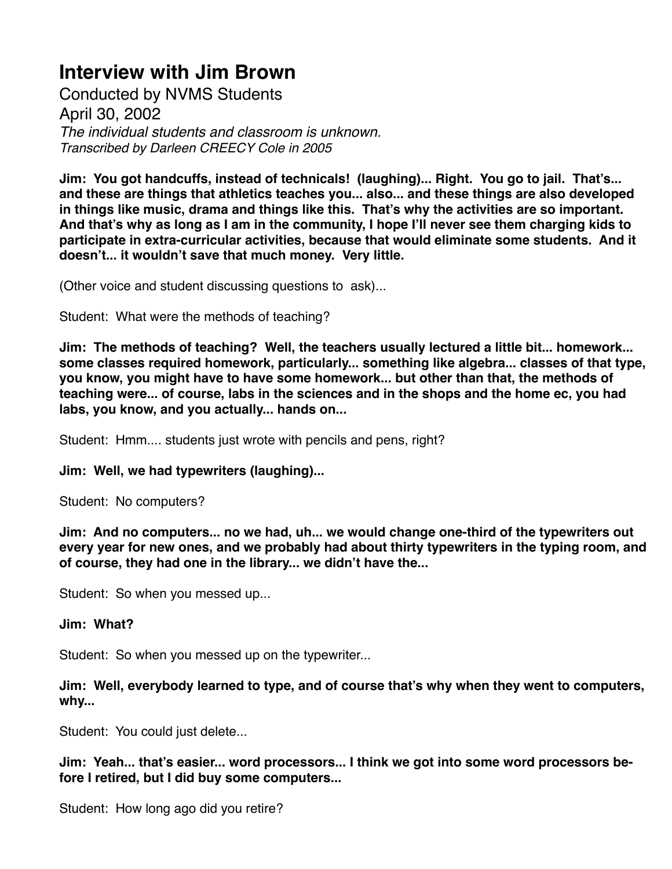Conducted by NVMS Students April 30, 2002 *The individual students and classroom is unknown. Transcribed by Darleen CREECY Cole in 2005*

**Jim: You got handcuffs, instead of technicals! (laughing)... Right. You go to jail. That's... and these are things that athletics teaches you... also... and these things are also developed in things like music, drama and things like this. That's why the activities are so important. And that's why as long as I am in the community, I hope I'll never see them charging kids to participate in extra-curricular activities, because that would eliminate some students. And it doesn't... it wouldn't save that much money. Very little.**

(Other voice and student discussing questions to ask)...

Student: What were the methods of teaching?

**Jim: The methods of teaching? Well, the teachers usually lectured a little bit... homework... some classes required homework, particularly... something like algebra... classes of that type, you know, you might have to have some homework... but other than that, the methods of teaching were... of course, labs in the sciences and in the shops and the home ec, you had labs, you know, and you actually... hands on...**

Student: Hmm.... students just wrote with pencils and pens, right?

### **Jim: Well, we had typewriters (laughing)...**

Student: No computers?

**Jim: And no computers... no we had, uh... we would change one-third of the typewriters out every year for new ones, and we probably had about thirty typewriters in the typing room, and of course, they had one in the library... we didn't have the...**

Student: So when you messed up...

#### **Jim: What?**

Student: So when you messed up on the typewriter...

**Jim: Well, everybody learned to type, and of course that's why when they went to computers, why...**

Student: You could just delete...

**Jim: Yeah... that's easier... word processors... I think we got into some word processors before I retired, but I did buy some computers...**

Student: How long ago did you retire?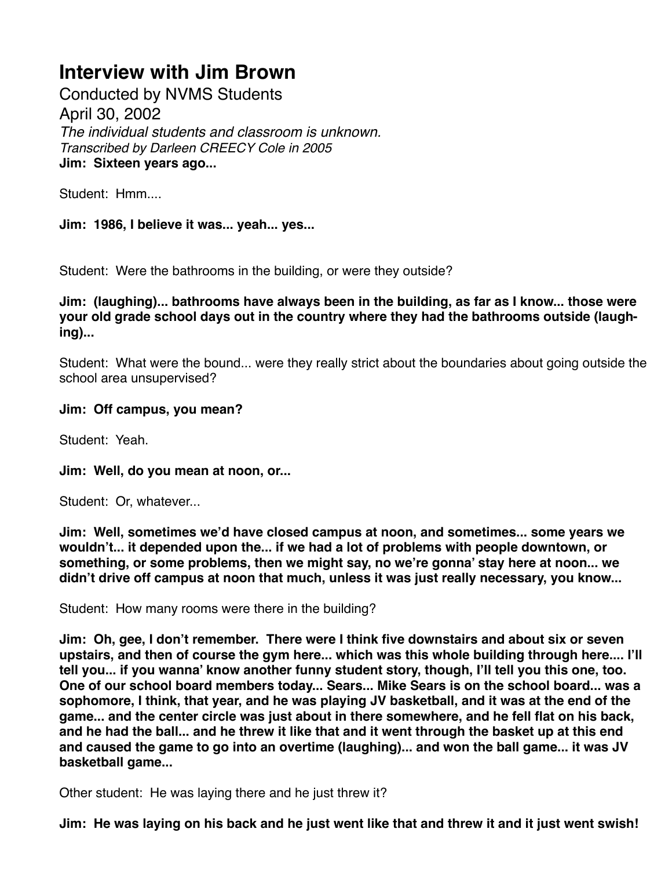Conducted by NVMS Students April 30, 2002 *The individual students and classroom is unknown. Transcribed by Darleen CREECY Cole in 2005* **Jim: Sixteen years ago...**

Student: Hmm....

**Jim: 1986, I believe it was... yeah... yes...**

Student: Were the bathrooms in the building, or were they outside?

**Jim: (laughing)... bathrooms have always been in the building, as far as I know... those were your old grade school days out in the country where they had the bathrooms outside (laughing)...**

Student: What were the bound... were they really strict about the boundaries about going outside the school area unsupervised?

#### **Jim: Off campus, you mean?**

Student: Yeah.

**Jim: Well, do you mean at noon, or...**

Student: Or, whatever...

**Jim: Well, sometimes we'd have closed campus at noon, and sometimes... some years we wouldn't... it depended upon the... if we had a lot of problems with people downtown, or something, or some problems, then we might say, no we're gonna' stay here at noon... we didn't drive off campus at noon that much, unless it was just really necessary, you know...**

Student: How many rooms were there in the building?

**Jim: Oh, gee, I don't remember. There were I think five downstairs and about six or seven upstairs, and then of course the gym here... which was this whole building through here.... I'll tell you... if you wanna' know another funny student story, though, I'll tell you this one, too. One of our school board members today... Sears... Mike Sears is on the school board... was a sophomore, I think, that year, and he was playing JV basketball, and it was at the end of the game... and the center circle was just about in there somewhere, and he fell flat on his back, and he had the ball... and he threw it like that and it went through the basket up at this end and caused the game to go into an overtime (laughing)... and won the ball game... it was JV basketball game...**

Other student: He was laying there and he just threw it?

**Jim: He was laying on his back and he just went like that and threw it and it just went swish!**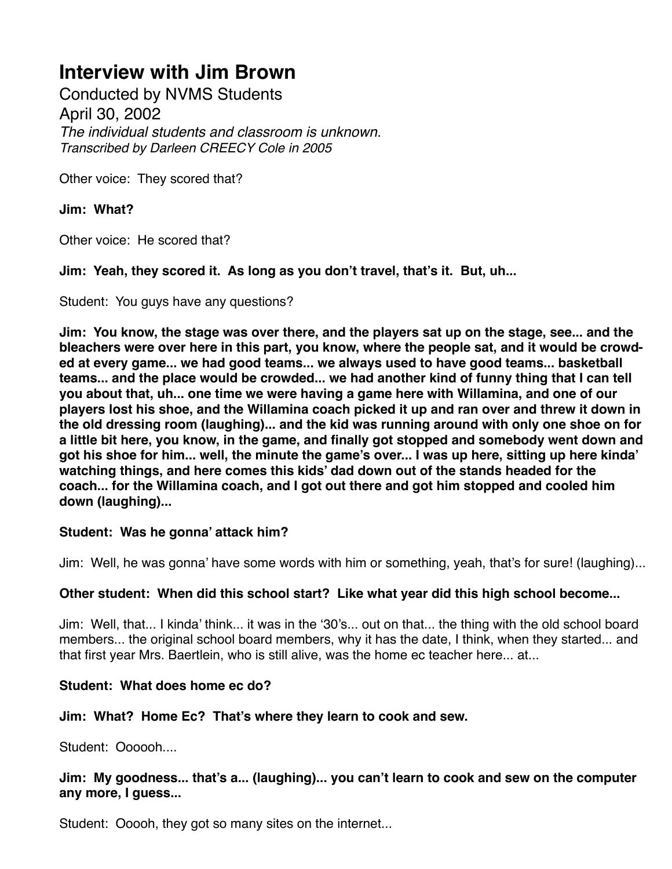Conducted by NVMS Students April 30, 2002 *The individual students and classroom is unknown. Transcribed by Darleen CREECY Cole in 2005*

Other voice: They scored that?

**Jim: What?**

Other voice: He scored that?

**Jim: Yeah, they scored it. As long as you don't travel, that's it. But, uh...**

Student: You guys have any questions?

**Jim: You know, the stage was over there, and the players sat up on the stage, see... and the bleachers were over here in this part, you know, where the people sat, and it would be crowded at every game... we had good teams... we always used to have good teams... basketball teams... and the place would be crowded... we had another kind of funny thing that I can tell you about that, uh... one time we were having a game here with Willamina, and one of our players lost his shoe, and the Willamina coach picked it up and ran over and threw it down in the old dressing room (laughing)... and the kid was running around with only one shoe on for a little bit here, you know, in the game, and finally got stopped and somebody went down and got his shoe for him... well, the minute the game's over... I was up here, sitting up here kinda' watching things, and here comes this kids' dad down out of the stands headed for the coach... for the Willamina coach, and I got out there and got him stopped and cooled him down (laughing)...**

### **Student: Was he gonna' attack him?**

Jim: Well, he was gonna' have some words with him or something, yeah, that's for sure! (laughing)...

### **Other student: When did this school start? Like what year did this high school become...**

Jim: Well, that... I kinda' think... it was in the '30's... out on that... the thing with the old school board members... the original school board members, why it has the date, I think, when they started... and that first year Mrs. Baertlein, who is still alive, was the home ec teacher here... at...

## **Student: What does home ec do?**

### **Jim: What? Home Ec? That's where they learn to cook and sew.**

Student: Oooooh....

**Jim: My goodness... that's a... (laughing)... you can't learn to cook and sew on the computer any more, I guess...**

Student: Ooooh, they got so many sites on the internet...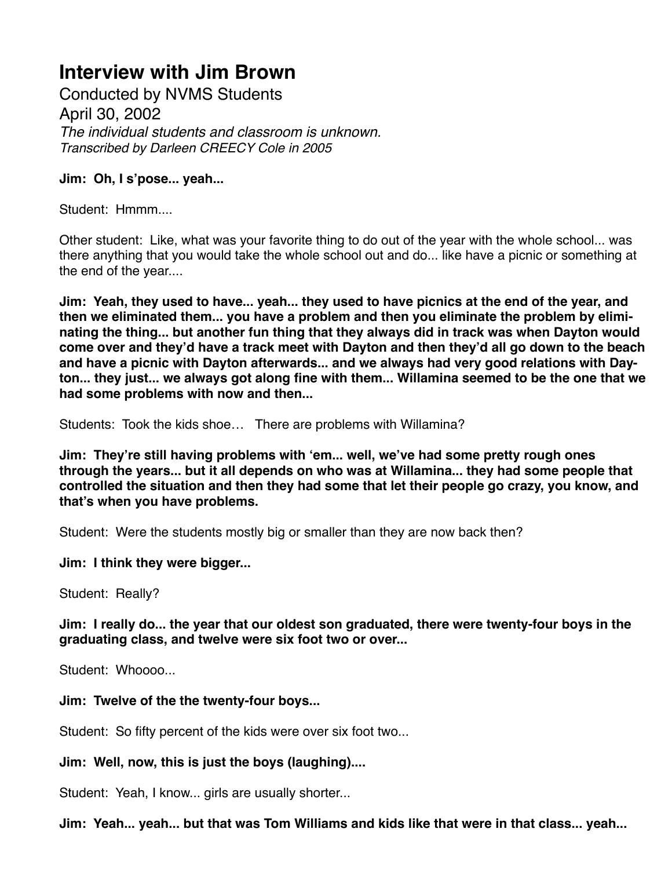Conducted by NVMS Students April 30, 2002 *The individual students and classroom is unknown. Transcribed by Darleen CREECY Cole in 2005*

### **Jim: Oh, I s'pose... yeah...**

Student: Hmmm....

Other student: Like, what was your favorite thing to do out of the year with the whole school... was there anything that you would take the whole school out and do... like have a picnic or something at the end of the year....

**Jim: Yeah, they used to have... yeah... they used to have picnics at the end of the year, and then we eliminated them... you have a problem and then you eliminate the problem by eliminating the thing... but another fun thing that they always did in track was when Dayton would come over and they'd have a track meet with Dayton and then they'd all go down to the beach and have a picnic with Dayton afterwards... and we always had very good relations with Dayton... they just... we always got along fine with them... Willamina seemed to be the one that we had some problems with now and then...**

Students: Took the kids shoe… There are problems with Willamina?

**Jim: They're still having problems with 'em... well, we've had some pretty rough ones through the years... but it all depends on who was at Willamina... they had some people that controlled the situation and then they had some that let their people go crazy, you know, and that's when you have problems.**

Student: Were the students mostly big or smaller than they are now back then?

**Jim: I think they were bigger...**

Student: Really?

**Jim: I really do... the year that our oldest son graduated, there were twenty-four boys in the graduating class, and twelve were six foot two or over...**

Student: Whoooo...

**Jim: Twelve of the the twenty-four boys...**

Student: So fifty percent of the kids were over six foot two...

**Jim: Well, now, this is just the boys (laughing)....**

Student: Yeah, I know... girls are usually shorter...

**Jim: Yeah... yeah... but that was Tom Williams and kids like that were in that class... yeah...**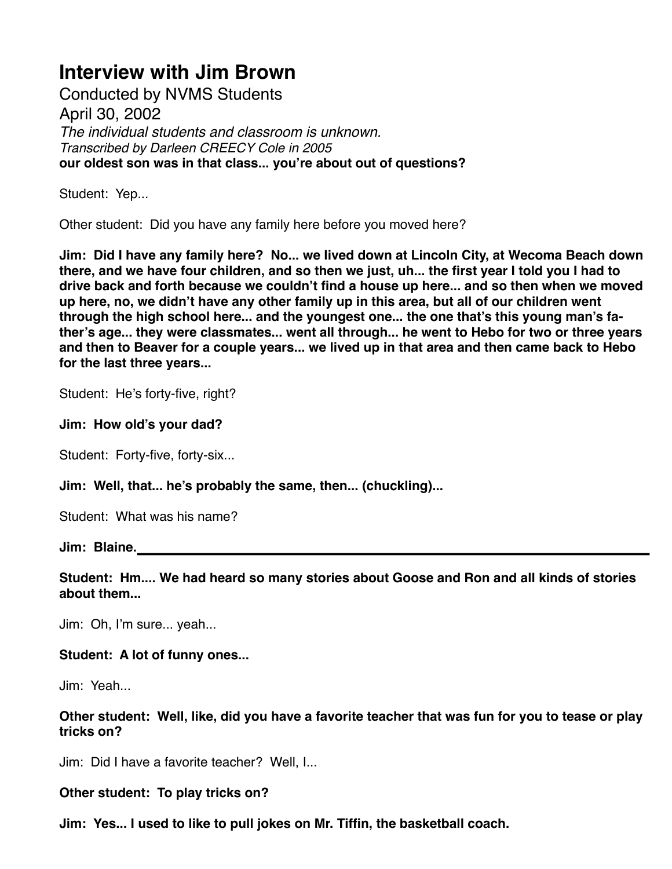Conducted by NVMS Students April 30, 2002 *The individual students and classroom is unknown. Transcribed by Darleen CREECY Cole in 2005* **our oldest son was in that class... you're about out of questions?**

Student: Yep...

Other student: Did you have any family here before you moved here?

**Jim: Did I have any family here? No... we lived down at Lincoln City, at Wecoma Beach down there, and we have four children, and so then we just, uh... the first year I told you I had to drive back and forth because we couldn't find a house up here... and so then when we moved up here, no, we didn't have any other family up in this area, but all of our children went through the high school here... and the youngest one... the one that's this young man's father's age... they were classmates... went all through... he went to Hebo for two or three years and then to Beaver for a couple years... we lived up in that area and then came back to Hebo for the last three years...**

Student: He's forty-five, right?

**Jim: How old's your dad?**

Student: Forty-five, forty-six...

**Jim: Well, that... he's probably the same, then... (chuckling)...**

Student: What was his name?

**Jim: Blaine.**

**Student: Hm.... We had heard so many stories about Goose and Ron and all kinds of stories about them...**

Jim: Oh, I'm sure... yeah...

### **Student: A lot of funny ones...**

Jim: Yeah...

**Other student: Well, like, did you have a favorite teacher that was fun for you to tease or play tricks on?**

Jim: Did I have a favorite teacher? Well, I...

**Other student: To play tricks on?**

**Jim: Yes... I used to like to pull jokes on Mr. Tiffin, the basketball coach.**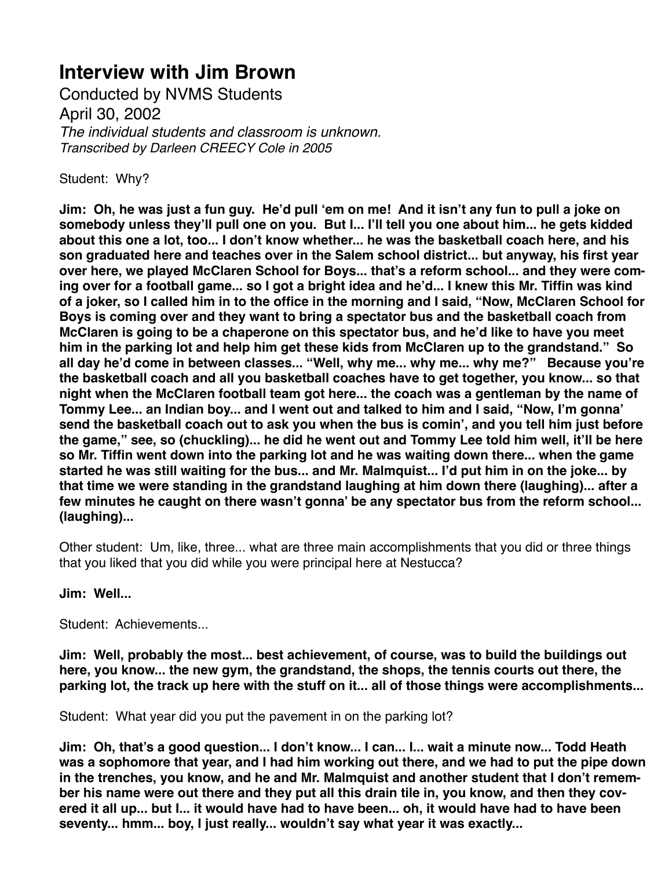Conducted by NVMS Students April 30, 2002 *The individual students and classroom is unknown. Transcribed by Darleen CREECY Cole in 2005*

Student: Why?

**Jim: Oh, he was just a fun guy. He'd pull 'em on me! And it isn't any fun to pull a joke on somebody unless they'll pull one on you. But I... I'll tell you one about him... he gets kidded about this one a lot, too... I don't know whether... he was the basketball coach here, and his son graduated here and teaches over in the Salem school district... but anyway, his first year over here, we played McClaren School for Boys... that's a reform school... and they were coming over for a football game... so I got a bright idea and he'd... I knew this Mr. Tiffin was kind of a joker, so I called him in to the office in the morning and I said, "Now, McClaren School for Boys is coming over and they want to bring a spectator bus and the basketball coach from McClaren is going to be a chaperone on this spectator bus, and he'd like to have you meet him in the parking lot and help him get these kids from McClaren up to the grandstand." So all day he'd come in between classes... "Well, why me... why me... why me?" Because you're the basketball coach and all you basketball coaches have to get together, you know... so that night when the McClaren football team got here... the coach was a gentleman by the name of Tommy Lee... an Indian boy... and I went out and talked to him and I said, "Now, I'm gonna' send the basketball coach out to ask you when the bus is comin', and you tell him just before the game," see, so (chuckling)... he did he went out and Tommy Lee told him well, it'll be here so Mr. Tiffin went down into the parking lot and he was waiting down there... when the game started he was still waiting for the bus... and Mr. Malmquist... I'd put him in on the joke... by that time we were standing in the grandstand laughing at him down there (laughing)... after a few minutes he caught on there wasn't gonna' be any spectator bus from the reform school... (laughing)...**

Other student: Um, like, three... what are three main accomplishments that you did or three things that you liked that you did while you were principal here at Nestucca?

### **Jim: Well...**

Student: Achievements...

**Jim: Well, probably the most... best achievement, of course, was to build the buildings out here, you know... the new gym, the grandstand, the shops, the tennis courts out there, the parking lot, the track up here with the stuff on it... all of those things were accomplishments...** 

Student: What year did you put the pavement in on the parking lot?

**Jim: Oh, that's a good question... I don't know... I can... I... wait a minute now... Todd Heath was a sophomore that year, and I had him working out there, and we had to put the pipe down in the trenches, you know, and he and Mr. Malmquist and another student that I don't remember his name were out there and they put all this drain tile in, you know, and then they covered it all up... but I... it would have had to have been... oh, it would have had to have been seventy... hmm... boy, I just really... wouldn't say what year it was exactly...**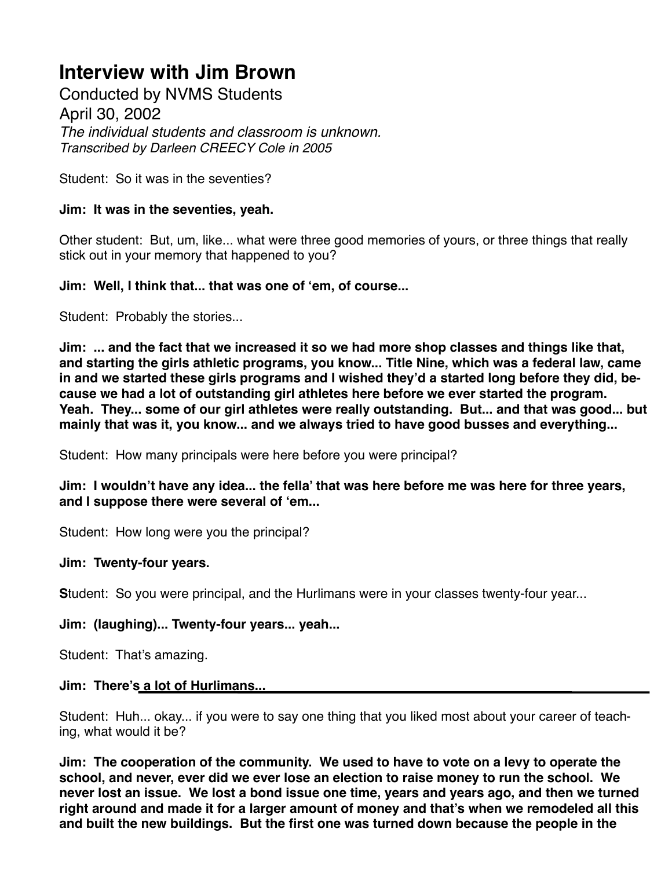Conducted by NVMS Students April 30, 2002 *The individual students and classroom is unknown. Transcribed by Darleen CREECY Cole in 2005*

Student: So it was in the seventies?

## **Jim: It was in the seventies, yeah.**

Other student: But, um, like... what were three good memories of yours, or three things that really stick out in your memory that happened to you?

## **Jim: Well, I think that... that was one of 'em, of course...**

Student: Probably the stories...

**Jim: ... and the fact that we increased it so we had more shop classes and things like that, and starting the girls athletic programs, you know... Title Nine, which was a federal law, came in and we started these girls programs and I wished they'd a started long before they did, because we had a lot of outstanding girl athletes here before we ever started the program. Yeah. They... some of our girl athletes were really outstanding. But... and that was good... but mainly that was it, you know... and we always tried to have good busses and everything...**

Student: How many principals were here before you were principal?

**Jim: I wouldn't have any idea... the fella' that was here before me was here for three years, and I suppose there were several of 'em...**

Student: How long were you the principal?

### **Jim: Twenty-four years.**

**S**tudent: So you were principal, and the Hurlimans were in your classes twenty-four year...

## **Jim: (laughing)... Twenty-four years... yeah...**

Student: That's amazing.

### **Jim: There's a lot of Hurlimans...**

Student: Huh... okay... if you were to say one thing that you liked most about your career of teaching, what would it be?

**Jim: The cooperation of the community. We used to have to vote on a levy to operate the school, and never, ever did we ever lose an election to raise money to run the school. We never lost an issue. We lost a bond issue one time, years and years ago, and then we turned right around and made it for a larger amount of money and that's when we remodeled all this and built the new buildings. But the first one was turned down because the people in the**